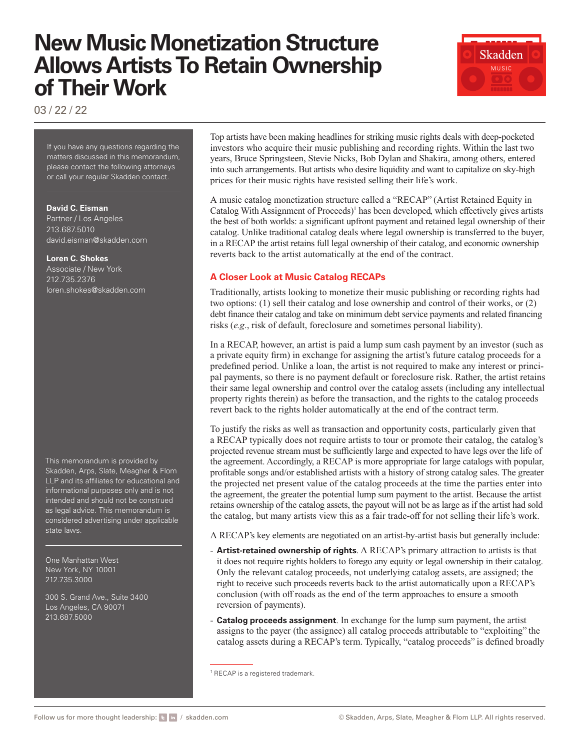# **New Music Monetization Structure Allows Artists To Retain Ownership of Their Work**



03 / 22 / 22

If you have any questions regarding the matters discussed in this memorandum, please contact the following attorneys or call your regular Skadden contact.

#### **David C. Eisman**

Partner / Los Angeles 213.687.5010 [david.eisman@skadden.com](mailto:david.eisman@skadden.com)

#### **Loren C. Shokes**

Associate / New York 212.735.2376 [loren.shokes@skadden.com](mailto:loren.shokes@skadden.com
)

This memorandum is provided by Skadden, Arps, Slate, Meagher & Flom LLP and its affiliates for educational and informational purposes only and is not intended and should not be construed as legal advice. This memorandum is considered advertising under applicable state laws.

One Manhattan West New York, NY 10001 212.735.3000

300 S. Grand Ave., Suite 3400 Los Angeles, CA 90071 213.687.5000

Top artists have been making headlines for striking music rights deals with deep-pocketed investors who acquire their music publishing and recording rights. Within the last two years, Bruce Springsteen, Stevie Nicks, Bob Dylan and Shakira, among others, entered into such arrangements. But artists who desire liquidity and want to capitalize on sky-high prices for their music rights have resisted selling their life's work.

A music catalog monetization structure called a "RECAP" (Artist Retained Equity in Catalog With Assignment of Proceeds)<sup>1</sup> has been developed, which effectively gives artists the best of both worlds: a significant upfront payment and retained legal ownership of their catalog. Unlike traditional catalog deals where legal ownership is transferred to the buyer, in a RECAP the artist retains full legal ownership of their catalog, and economic ownership reverts back to the artist automatically at the end of the contract.

## **A Closer Look at Music Catalog RECAPs**

Traditionally, artists looking to monetize their music publishing or recording rights had two options: (1) sell their catalog and lose ownership and control of their works, or (2) debt finance their catalog and take on minimum debt service payments and related financing risks (*e.g*., risk of default, foreclosure and sometimes personal liability).

In a RECAP, however, an artist is paid a lump sum cash payment by an investor (such as a private equity firm) in exchange for assigning the artist's future catalog proceeds for a predefined period. Unlike a loan, the artist is not required to make any interest or principal payments, so there is no payment default or foreclosure risk. Rather, the artist retains their same legal ownership and control over the catalog assets (including any intellectual property rights therein) as before the transaction, and the rights to the catalog proceeds revert back to the rights holder automatically at the end of the contract term.

To justify the risks as well as transaction and opportunity costs, particularly given that a RECAP typically does not require artists to tour or promote their catalog, the catalog's projected revenue stream must be sufficiently large and expected to have legs over the life of the agreement. Accordingly, a RECAP is more appropriate for large catalogs with popular, profitable songs and/or established artists with a history of strong catalog sales. The greater the projected net present value of the catalog proceeds at the time the parties enter into the agreement, the greater the potential lump sum payment to the artist. Because the artist retains ownership of the catalog assets, the payout will not be as large as if the artist had sold the catalog, but many artists view this as a fair trade-off for not selling their life's work.

A RECAP's key elements are negotiated on an artist-by-artist basis but generally include:

- **Artist-retained ownership of rights**. A RECAP's primary attraction to artists is that it does not require rights holders to forego any equity or legal ownership in their catalog. Only the relevant catalog proceeds, not underlying catalog assets, are assigned; the right to receive such proceeds reverts back to the artist automatically upon a RECAP's conclusion (with off roads as the end of the term approaches to ensure a smooth reversion of payments).
- **Catalog proceeds assignment**. In exchange for the lump sum payment, the artist assigns to the payer (the assignee) all catalog proceeds attributable to "exploiting" the catalog assets during a RECAP's term. Typically, "catalog proceeds" is defined broadly

<sup>&</sup>lt;sup>1</sup> RECAP is a registered trademark.